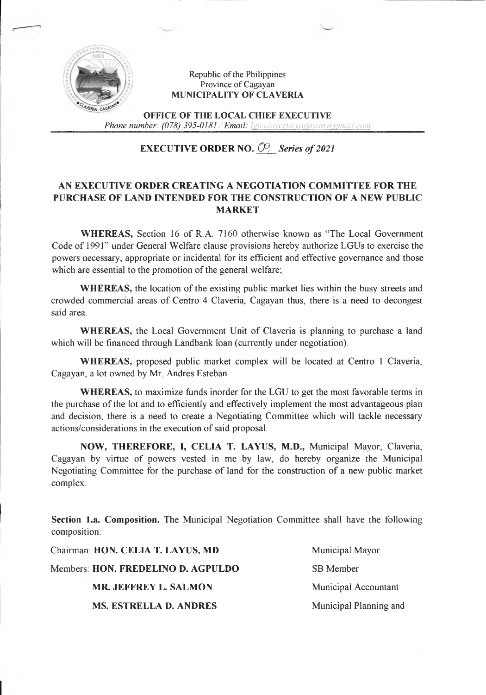

## Republic of the Philippines Province of Cagayan **MUNICIPALITY OF CLAVERIA**

**OFFICE OF THE LOCAL CHIEF EXECUTIVE Phone number:** (078) 395-0181 / Email: *Igu.claveria.cagayan a gmail.com* 

## **EXECUTIVE ORDER NO.** *CP, Series of<sup>2021</sup>*

## **AN EXECUTIVE ORDER CREATING A NEGOTIATION COMMITTEE FOR THE PURCHASE OF LAND INTENDED FOR THE CONSTRUCTION OF A NEW PUBLIC MARKET**

**WHEREAS,** Section 16 of R.A. 7160 otherwise known as "The Local Government Code of 1991" under General Welfare clause provisions hereby authorize LGUs to exercise the powers necessary, appropriate or incidental for its efficient and effective governance and those which are essential to the promotion of the general welfare;

**WHEREAS,** the location of the existing public market lies within the busy streets and crowded commercial areas of Centro 4 Claveria, Cagayan thus, there is a need to decongest said area.

**WHEREAS,** the Local Government Unit of Claveria is planning to purchase a land which will be financed through Landbank loan (currently under negotiation).

**WHEREAS,** proposed public market complex will be located at Centro <sup>1</sup> Claveria, Cagayan, a lot owned by Mr. Andres Esteban.

**WHEREAS,** to maximize funds inorder for the LGU to get the most favorable terms in the purchase of the lot and to efficiently and effectively implement the most advantageous plan and decision, there is a need to create a Negotiating Committee which will tackle necessary actions/considerations in the execution of said proposal.

**NOW, THEREFORE, I, CELIA T. LAYUS, M.D.,** Municipal Mayor, Claveria, Cagayan by virtue of powers vested in me by law, do hereby organize the Municipal Negotiating Committee for the purchase of land for the construction of a new public market complex.

**Section La. Composition.** The Municipal Negotiation Committee shall have the following composition:

| Chairman: HON. CELIA T. LAYUS, MD  | Municipal Mayor        |
|------------------------------------|------------------------|
| Members: HON. FREDELINO D. AGPULDO | <b>SB</b> Member       |
| <b>MR. JEFFREY L. SALMON</b>       | Municipal Accountant   |
| <b>MS. ESTRELLA D. ANDRES</b>      | Municipal Planning and |